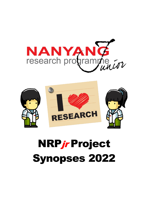



# NRPjr Project Synopses 2022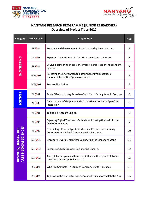



# <span id="page-1-0"></span>**NANYANG RESEARCH PROGRAMME (JUNIOR RESEARCHER) Overview of Project Titles 2022**

| <b>Category</b>                          | <b>Project Code</b>  | <b>Project Title</b>                                                                                               | Page |
|------------------------------------------|----------------------|--------------------------------------------------------------------------------------------------------------------|------|
| ENGINEERING                              | EEF $j$ r01          | Research and development of spectrum-adaptive table lamp                                                           | 1    |
|                                          | NIF $j$ r03          | Exploring Local Micro-Climates With Open-Source Sensors                                                            | 2    |
|                                          | SBSjr01              | Ex vivo engineering of cellular surfaces, a transfection independent<br>approach.                                  | 3    |
|                                          | SCBEjr01             | Assessing the Environmental Footprints of Pharmaceutical<br>Nanoparticles by Life Cycle Assessment                 | 4    |
|                                          | SCBEjr02             | <b>Process Simulation</b>                                                                                          | 5    |
| <b>SCIENCES</b>                          | NIFj <sub>r</sub> 02 | Acute Effects of Using Reusable Cloth Mask During Aerobic Exercise                                                 | 6    |
|                                          | NIEj <sub>r</sub> 05 | Development of Graphene / Metal Interfaces for Large Spin-Orbit<br>Interaction                                     | 7    |
|                                          | NIFjr01              | <b>Topics in Singapore English</b>                                                                                 | 8    |
|                                          | NIFjr04              | Exploring Digital Tools and Methods for Investigations within the<br>field of Humanities                           | 9    |
|                                          | NIEjr <sub>06</sub>  | Food Allergy Knowledge, Attitudes, and Preparedness Among<br><b>Consumers and School Canteen Service Personnel</b> | 10   |
| CIAL SCIENCES<br><b>HUMANITIES</b>       | SOHjr01              | Singapore Crypto-Linguistics: Deciphering the Singapore Stone                                                      | 11   |
| <b>ARTS &amp; SO</b><br><b>BUSINESS,</b> | SOHjr02              | Become a Glyph-Breaker: Deciphering Linear A                                                                       | 12   |
|                                          | SOHjr03              | Arab philanthropies and how they influence the spread of Arabic<br>Language on Singapore landmarks                 | 13   |
|                                          | SCI <i>jr</i> 01     | Who Are Chatbots?: A Study of Company Digital Personas                                                             | 14   |
|                                          | SCI <i>jr</i> 02     | Top Dog in the Lion City: Experiences with Singapore's Robotic Pup                                                 | 15   |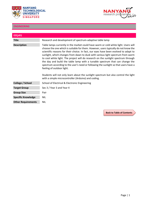



| EEEjr01                   |                                                                                                                                                                                                                                                                                                                                                                                                                                                                                                                                                                                                                                                                                                                                                                                                |
|---------------------------|------------------------------------------------------------------------------------------------------------------------------------------------------------------------------------------------------------------------------------------------------------------------------------------------------------------------------------------------------------------------------------------------------------------------------------------------------------------------------------------------------------------------------------------------------------------------------------------------------------------------------------------------------------------------------------------------------------------------------------------------------------------------------------------------|
| <b>Title</b>              | Research and development of spectrum-adaptive table lamp                                                                                                                                                                                                                                                                                                                                                                                                                                                                                                                                                                                                                                                                                                                                       |
| <b>Description</b>        | Table lamps currently in the market could have warm or cold white light. Users will<br>choose the one which is suitable for them. However, users typically do not know the<br>scientific reasons for their choice. In fact, our eyes have been evolved to adapt to<br>sunlight, which changes from dawn to dusk with various light spectrum from warm<br>to cool white light. The project will do research on the sunlight spectrum through<br>the day and build the table lamp with a tunable spectrum that can change the<br>spectrum according to the user's need or following the sunlight so that users have a<br>feeling of outdoor light.<br>Students will not only learn about the sunlight spectrum but also control the light<br>with a simple microcontroller (Arduino) and coding. |
| College / School          | School of Electrical & Electronic Engineering                                                                                                                                                                                                                                                                                                                                                                                                                                                                                                                                                                                                                                                                                                                                                  |
| <b>Target Group</b>       | Sec 3 / Year 3 and Year 4                                                                                                                                                                                                                                                                                                                                                                                                                                                                                                                                                                                                                                                                                                                                                                      |
| <b>Group Size</b>         | Pair                                                                                                                                                                                                                                                                                                                                                                                                                                                                                                                                                                                                                                                                                                                                                                                           |
| <b>Specific Knowledge</b> | <b>NIL</b>                                                                                                                                                                                                                                                                                                                                                                                                                                                                                                                                                                                                                                                                                                                                                                                     |
| <b>Other Requirements</b> | <b>NIL</b>                                                                                                                                                                                                                                                                                                                                                                                                                                                                                                                                                                                                                                                                                                                                                                                     |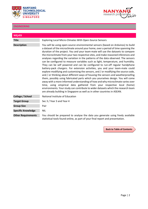



| NIEjr03                   |                                                                                                                                                                                                                                                                                                                                                                                                                                                                                                                                                                                                                                                                                                                                                                                                                                                                                                                                                                                                                                                                                                                                                                                                                                                                                        |
|---------------------------|----------------------------------------------------------------------------------------------------------------------------------------------------------------------------------------------------------------------------------------------------------------------------------------------------------------------------------------------------------------------------------------------------------------------------------------------------------------------------------------------------------------------------------------------------------------------------------------------------------------------------------------------------------------------------------------------------------------------------------------------------------------------------------------------------------------------------------------------------------------------------------------------------------------------------------------------------------------------------------------------------------------------------------------------------------------------------------------------------------------------------------------------------------------------------------------------------------------------------------------------------------------------------------------|
| <b>Title</b>              | Exploring Local Micro-Climates With Open-Source Sensors                                                                                                                                                                                                                                                                                                                                                                                                                                                                                                                                                                                                                                                                                                                                                                                                                                                                                                                                                                                                                                                                                                                                                                                                                                |
| <b>Description</b>        | You will be using open-source environmental sensors (based on Arduinos) to build<br>a dataset of the microclimate around your home, over a period of time spanning the<br>duration of the project. You and your team-mate will use the datasets to compare<br>the microclimate from your two respective sites, and make reasoned inferences and<br>analyses regarding the variation in the patterns of the data observed. The sensors<br>can be configured to measure variables such as light, temperature, and humidity.<br>They can be self powered and can be configured to run-off regular handphone<br>battery-pack chargers. For extension activities, you and your team-mate could<br>explore modifying and customising the sensors, and / or modifying the source code,<br>and / or thinking about different ways of housing the sensors and weatherproofing<br>them, possibly using fabricated parts which you yourselves design. You will come<br>away with a more informed understanding of how and why microclimate varies over<br>time, using empirical data gathered from your respective local (home)<br>environments. Your study can contribute to wider datasets which the research team<br>are already building in Singapore as well as in other countries in ASEAN. |
| College / School          | National Institute of Education                                                                                                                                                                                                                                                                                                                                                                                                                                                                                                                                                                                                                                                                                                                                                                                                                                                                                                                                                                                                                                                                                                                                                                                                                                                        |
| <b>Target Group</b>       | Sec 3 / Year 3 and Year 4                                                                                                                                                                                                                                                                                                                                                                                                                                                                                                                                                                                                                                                                                                                                                                                                                                                                                                                                                                                                                                                                                                                                                                                                                                                              |
| <b>Group Size</b>         | Pair                                                                                                                                                                                                                                                                                                                                                                                                                                                                                                                                                                                                                                                                                                                                                                                                                                                                                                                                                                                                                                                                                                                                                                                                                                                                                   |
| <b>Specific Knowledge</b> | <b>NIL</b>                                                                                                                                                                                                                                                                                                                                                                                                                                                                                                                                                                                                                                                                                                                                                                                                                                                                                                                                                                                                                                                                                                                                                                                                                                                                             |
| <b>Other Requirements</b> | You should be prepared to analyse the data you generate using freely available<br>statistical tools found online, as part of your final report and presentation.                                                                                                                                                                                                                                                                                                                                                                                                                                                                                                                                                                                                                                                                                                                                                                                                                                                                                                                                                                                                                                                                                                                       |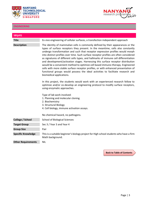



| SBSjr01                   |                                                                                                                                                                                                                                                                                                                                                                                                                                                                                                                                                                                                                                                                                                                                                                                                                 |
|---------------------------|-----------------------------------------------------------------------------------------------------------------------------------------------------------------------------------------------------------------------------------------------------------------------------------------------------------------------------------------------------------------------------------------------------------------------------------------------------------------------------------------------------------------------------------------------------------------------------------------------------------------------------------------------------------------------------------------------------------------------------------------------------------------------------------------------------------------|
| <b>Title</b>              | Ex vivo engineering of cellular surfaces, a transfection independent approach                                                                                                                                                                                                                                                                                                                                                                                                                                                                                                                                                                                                                                                                                                                                   |
| <b>Description</b>        | The identity of mammalian cells is commonly defined by their appearances or the<br>types of surface receptors they present. In the meantime, cells also constantly<br>undergo transformation and such that receptor expression profiles would morph<br>into distinct profiles over time. Such surface receptor profiles are often considered<br>as signatures of different cells types, and hallmarks of immune cell differentiation<br>and development/activation stages. Harnessing this surface receptor distribution<br>would be a convenient method to optimize cell based immuno-therapy. Engineered<br>cells with more stable surface receptor profiles, or with enhanced presentation of<br>functional groups would possess the ideal activities to facilitate research and<br>biomedical applications. |
|                           | In this project, the students would work with an experienced research fellow to<br>optimize and/or co-develop an engineering protocol to modify surface receptors,<br>using enzymatic approaches.<br>Type of lab work involved:                                                                                                                                                                                                                                                                                                                                                                                                                                                                                                                                                                                 |
|                           | 1. Planning and molecular cloning.<br>2. Biochemistry                                                                                                                                                                                                                                                                                                                                                                                                                                                                                                                                                                                                                                                                                                                                                           |
|                           | 3. Structural Biology                                                                                                                                                                                                                                                                                                                                                                                                                                                                                                                                                                                                                                                                                                                                                                                           |
|                           | 4. Cell biology, immune activation assays.                                                                                                                                                                                                                                                                                                                                                                                                                                                                                                                                                                                                                                                                                                                                                                      |
|                           | No chemical hazard, no pathogens.                                                                                                                                                                                                                                                                                                                                                                                                                                                                                                                                                                                                                                                                                                                                                                               |
| College / School          | <b>School of Biological Sciences</b>                                                                                                                                                                                                                                                                                                                                                                                                                                                                                                                                                                                                                                                                                                                                                                            |
| <b>Target Group</b>       | Sec 3 / Year 3 and Year 4                                                                                                                                                                                                                                                                                                                                                                                                                                                                                                                                                                                                                                                                                                                                                                                       |
| <b>Group Size</b>         | Pair                                                                                                                                                                                                                                                                                                                                                                                                                                                                                                                                                                                                                                                                                                                                                                                                            |
| <b>Specific Knowledge</b> | This is a suitable beginner's biology project for High school students who have a firm<br>Math background.                                                                                                                                                                                                                                                                                                                                                                                                                                                                                                                                                                                                                                                                                                      |
| <b>Other Requirements</b> | <b>NIL</b>                                                                                                                                                                                                                                                                                                                                                                                                                                                                                                                                                                                                                                                                                                                                                                                                      |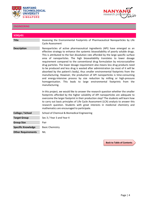



| SCBEjr01                  |                                                                                                                                                                                                                                                                                                                                                                                                                                                                                                                                                                                                                                                                                                                                                                                                                                                                                                                                                                                                                                                                                                                              |
|---------------------------|------------------------------------------------------------------------------------------------------------------------------------------------------------------------------------------------------------------------------------------------------------------------------------------------------------------------------------------------------------------------------------------------------------------------------------------------------------------------------------------------------------------------------------------------------------------------------------------------------------------------------------------------------------------------------------------------------------------------------------------------------------------------------------------------------------------------------------------------------------------------------------------------------------------------------------------------------------------------------------------------------------------------------------------------------------------------------------------------------------------------------|
| <b>Title</b>              | Assessing the Environmental Footprints of Pharmaceutical Nanoparticles by Life<br><b>Cycle Assessment</b>                                                                                                                                                                                                                                                                                                                                                                                                                                                                                                                                                                                                                                                                                                                                                                                                                                                                                                                                                                                                                    |
| <b>Description</b>        | Nanoparticles of active pharmaceutical ingredients (API) have emerged as an<br>effective strategy to enhance the systemic bioavailability of poorly soluble drugs.<br>This is attributed to the fast dissolution rate afforded by the large specific surface<br>area of nanoparticles. The high bioavailability translates to lower dosage<br>requirement compared to the conventional drug formulation by microcrystalline<br>drug particles. The lower dosage requirement also means less drug products need<br>to be produced and less drug is wasted after administration (as most of it will be<br>absorbed by the patient's body), thus smaller environmental footprints from the<br>manufacturing. However, the production of API nanoparticles is time-consuming<br>and energy-intensive process by size reduction by milling or high-pressure<br>homogenisation. This leads to large environmental footprints from the<br>manufacturing.<br>In this project, we would like to answer the research question whether the smaller<br>footprints afforded by the higher solubility of API nanoparticles are adequate to |
|                           | overcome the larger footprint in their production step? The students will learn how<br>to carry out basic principles of Life Cycle Assessment (LCA) analysis to answer this<br>research question. Students with great interests in medicinal chemistry and<br>mathematics are encouraged to participate.                                                                                                                                                                                                                                                                                                                                                                                                                                                                                                                                                                                                                                                                                                                                                                                                                     |
| College / School          | School of Chemical & Biomedical Engineering                                                                                                                                                                                                                                                                                                                                                                                                                                                                                                                                                                                                                                                                                                                                                                                                                                                                                                                                                                                                                                                                                  |
| <b>Target Group</b>       | Sec 3 / Year 3 and Year 4                                                                                                                                                                                                                                                                                                                                                                                                                                                                                                                                                                                                                                                                                                                                                                                                                                                                                                                                                                                                                                                                                                    |
| <b>Group Size</b>         | Pair                                                                                                                                                                                                                                                                                                                                                                                                                                                                                                                                                                                                                                                                                                                                                                                                                                                                                                                                                                                                                                                                                                                         |
| <b>Specific Knowledge</b> | <b>Basic Chemistry</b>                                                                                                                                                                                                                                                                                                                                                                                                                                                                                                                                                                                                                                                                                                                                                                                                                                                                                                                                                                                                                                                                                                       |
| <b>Other Requirements</b> | <b>NIL</b>                                                                                                                                                                                                                                                                                                                                                                                                                                                                                                                                                                                                                                                                                                                                                                                                                                                                                                                                                                                                                                                                                                                   |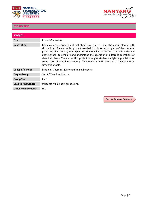



| SCBEjr02                  |                                                                                                                                                                                                                                                                                                                                                                                                                                                                                                                                                |
|---------------------------|------------------------------------------------------------------------------------------------------------------------------------------------------------------------------------------------------------------------------------------------------------------------------------------------------------------------------------------------------------------------------------------------------------------------------------------------------------------------------------------------------------------------------------------------|
| <b>Title</b>              | <b>Process Simulation</b>                                                                                                                                                                                                                                                                                                                                                                                                                                                                                                                      |
| <b>Description</b>        | Chemical engineering is not just about experiments, but also about playing with<br>simulation software. In this project, we shall look into various parts of the chemical<br>plant. We shall employ the Aspen HYSYS modelling platform - a user-friendly and<br>exciting tool - to simulate and understand the operation of different operations of<br>chemical plants. The aim of this project is to give students a light appreciation of<br>some core chemical engineering fundamentals with the aid of typically used<br>simulation tools. |
| College / School          | School of Chemical & Biomedical Engineering                                                                                                                                                                                                                                                                                                                                                                                                                                                                                                    |
| <b>Target Group</b>       | Sec 3 / Year 3 and Year 4                                                                                                                                                                                                                                                                                                                                                                                                                                                                                                                      |
| <b>Group Size</b>         | Pair                                                                                                                                                                                                                                                                                                                                                                                                                                                                                                                                           |
| <b>Specific Knowledge</b> | Students will be doing modelling.                                                                                                                                                                                                                                                                                                                                                                                                                                                                                                              |
| <b>Other Requirements</b> | NIL                                                                                                                                                                                                                                                                                                                                                                                                                                                                                                                                            |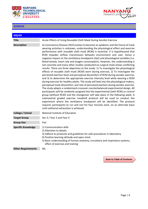



# **SCIENCES**

| NIEjr02                   |                                                                                                                                                                                                                                                                                                                                                                                                                                                                                                                                                                                                                                                                                                                                                                                                                                                                                                                                                                                                                                                                                                                                                                                                                                                                                                                                                                                                                                                                                                                                                                                                                                                                                                           |
|---------------------------|-----------------------------------------------------------------------------------------------------------------------------------------------------------------------------------------------------------------------------------------------------------------------------------------------------------------------------------------------------------------------------------------------------------------------------------------------------------------------------------------------------------------------------------------------------------------------------------------------------------------------------------------------------------------------------------------------------------------------------------------------------------------------------------------------------------------------------------------------------------------------------------------------------------------------------------------------------------------------------------------------------------------------------------------------------------------------------------------------------------------------------------------------------------------------------------------------------------------------------------------------------------------------------------------------------------------------------------------------------------------------------------------------------------------------------------------------------------------------------------------------------------------------------------------------------------------------------------------------------------------------------------------------------------------------------------------------------------|
| <b>Title</b>              | Acute Effects of Using Reusable Cloth Mask During Aerobic Exercise                                                                                                                                                                                                                                                                                                                                                                                                                                                                                                                                                                                                                                                                                                                                                                                                                                                                                                                                                                                                                                                                                                                                                                                                                                                                                                                                                                                                                                                                                                                                                                                                                                        |
| <b>Description</b>        | As Coronavirus Disease 2019 evolves to become an epidemic and the future of mask<br>wearing activities is unknown, understanding the physiological effect and exercise<br>performance with reusable cloth mask (RCM) is essential. It is hypothesized that<br>RCM impedes airflow transmission between environment and user, hence a<br>negative impact on the ventilatory breakpoint (Vpt) and physiological variables (i.e.<br>blood lactate, heart rate and oxygen consumption). However, the understanding is<br>not concrete and many other studies conducted on surgical mask shows conflicting<br>results. There are three objectives to the study: 1) To investigate the physiological<br>effects of reusable cloth mask (RCM) worn during exercise, 2) To investigate the<br>perceived exertion level and perceptual discomfort of RCM during aerobic exercise,<br>and 3) to determine the appropriate exercise intensity level while wearing a RCM<br>during exercise for healthy adults. The study will look into the physiological makers,<br>perceptual mask discomfort, and rate of perceived exertion during aerobic exercise.<br>The study adopts a randomized crossover counterbalanced experimental design. All<br>participants will be randomly assigned into the experimental (with RCM) or control<br>group (without RCM) and the changeover will take place in the following week. A<br>submaximal graded exercise treadmill protocol will be used to conduct the<br>experiment where the ventilatory breakpoint will be identified. The protocol<br>requires participants to run and rest for four minutes each, on an alternate basis<br>until volitional exhaustion is achieved. |
| College / School          | National Institute of Education                                                                                                                                                                                                                                                                                                                                                                                                                                                                                                                                                                                                                                                                                                                                                                                                                                                                                                                                                                                                                                                                                                                                                                                                                                                                                                                                                                                                                                                                                                                                                                                                                                                                           |
| <b>Target Group</b>       | Sec 3 / Year 3 and Year 4                                                                                                                                                                                                                                                                                                                                                                                                                                                                                                                                                                                                                                                                                                                                                                                                                                                                                                                                                                                                                                                                                                                                                                                                                                                                                                                                                                                                                                                                                                                                                                                                                                                                                 |
| <b>Group Size</b>         | Pair                                                                                                                                                                                                                                                                                                                                                                                                                                                                                                                                                                                                                                                                                                                                                                                                                                                                                                                                                                                                                                                                                                                                                                                                                                                                                                                                                                                                                                                                                                                                                                                                                                                                                                      |
| <b>Specific Knowledge</b> | 1) Communication skills<br>2) Attention to details<br>3) Adhere to protocols and guidelines for safe procedures in laboratory<br>4) Positive learning attitude and open mind<br>5) Basic understanding of human anatomy, circulatory and respiratory systems,<br>effect of exercise and training                                                                                                                                                                                                                                                                                                                                                                                                                                                                                                                                                                                                                                                                                                                                                                                                                                                                                                                                                                                                                                                                                                                                                                                                                                                                                                                                                                                                          |
| <b>Other Requirements</b> | <b>NIL</b>                                                                                                                                                                                                                                                                                                                                                                                                                                                                                                                                                                                                                                                                                                                                                                                                                                                                                                                                                                                                                                                                                                                                                                                                                                                                                                                                                                                                                                                                                                                                                                                                                                                                                                |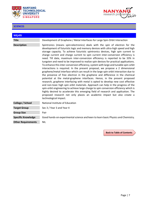



## **SCIENCES**

| NIEjr05                   |                                                                                                                                                                                                                                                                                                                                                                                                                                                                                                                                                                                                                                                                                                                                                                                                                                                                                                                                                                                                                                                                                                                                                                                                                                                                                                                                                                                                               |
|---------------------------|---------------------------------------------------------------------------------------------------------------------------------------------------------------------------------------------------------------------------------------------------------------------------------------------------------------------------------------------------------------------------------------------------------------------------------------------------------------------------------------------------------------------------------------------------------------------------------------------------------------------------------------------------------------------------------------------------------------------------------------------------------------------------------------------------------------------------------------------------------------------------------------------------------------------------------------------------------------------------------------------------------------------------------------------------------------------------------------------------------------------------------------------------------------------------------------------------------------------------------------------------------------------------------------------------------------------------------------------------------------------------------------------------------------|
| <b>Title</b>              | Development of Graphene / Metal Interfaces for Large Spin-Orbit Interaction                                                                                                                                                                                                                                                                                                                                                                                                                                                                                                                                                                                                                                                                                                                                                                                                                                                                                                                                                                                                                                                                                                                                                                                                                                                                                                                                   |
| <b>Description</b>        | Spintronics (means spin+electronics) deals with the spin of electron for the<br>development of futuristic logic and memory devices with ultra-high speed and high<br>storage capacity. To achieve futuristic spintronics devices, high spin current to<br>charge current and charge current to spin current inter-conversion efficiency is<br>need. Till date, maximum inter-conversion efficiency is reported to be 33% in<br>tungsten and need to be improved to realize spin devices for practical applications.<br>To enhance this inter-conversion efficiency, system with large and tunable spin-orbit<br>interactions is required. In the present proposal, we propose a 2 dimensional<br>graphene/metal interface which can result in the large spin orbit interaction due to<br>the presence of free electron in the graphene and difference in the chemical<br>potential at the metal-graphene interfaces. Hence, in the present proposed<br>research, graphene interfacing with metal is opted to develop new cost effective<br>and non-toxic high spin orbit materials. Approach can help in the progress of the<br>spin-orbit engineering to achieve large charge to spin conversion efficiency which is<br>highly desired to accelerate this emerging field of research and application. The<br>proposed research not only places an academic impact but also create a<br>technological impact. |
| College / School          | National Institute of Education                                                                                                                                                                                                                                                                                                                                                                                                                                                                                                                                                                                                                                                                                                                                                                                                                                                                                                                                                                                                                                                                                                                                                                                                                                                                                                                                                                               |
| <b>Target Group</b>       | Sec 3 / Year 3 and Year 4                                                                                                                                                                                                                                                                                                                                                                                                                                                                                                                                                                                                                                                                                                                                                                                                                                                                                                                                                                                                                                                                                                                                                                                                                                                                                                                                                                                     |
| <b>Group Size</b>         | Pair                                                                                                                                                                                                                                                                                                                                                                                                                                                                                                                                                                                                                                                                                                                                                                                                                                                                                                                                                                                                                                                                                                                                                                                                                                                                                                                                                                                                          |
| <b>Specific Knowledge</b> | Good hands-on experimental science and keen to learn basic Physics and Chemistry.                                                                                                                                                                                                                                                                                                                                                                                                                                                                                                                                                                                                                                                                                                                                                                                                                                                                                                                                                                                                                                                                                                                                                                                                                                                                                                                             |
| <b>Other Requirements</b> | <b>NIL</b>                                                                                                                                                                                                                                                                                                                                                                                                                                                                                                                                                                                                                                                                                                                                                                                                                                                                                                                                                                                                                                                                                                                                                                                                                                                                                                                                                                                                    |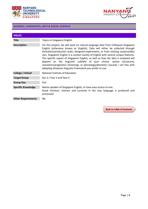



| NIEjr01                   |                                                                                                                                                                                                                                                                                                                                                                                                                                                                                                                                                                                                                                                               |
|---------------------------|---------------------------------------------------------------------------------------------------------------------------------------------------------------------------------------------------------------------------------------------------------------------------------------------------------------------------------------------------------------------------------------------------------------------------------------------------------------------------------------------------------------------------------------------------------------------------------------------------------------------------------------------------------------|
| <b>Title</b>              | Topics in Singapore English                                                                                                                                                                                                                                                                                                                                                                                                                                                                                                                                                                                                                                   |
| <b>Description</b>        | For this project, we will work on natural language data from Colloquial Singapore<br>English (otherwise known as Singlish). Data will either be collected through<br>elicitation/production tasks, designed experiments, or from existing corpora/data<br>sets. Singapore English is a contact variety of English with several unique features.<br>The specific aspect of Singapore English, as well as how the data is analysed will<br>depend on the linguistic subfield of your choice: syntax (structure),<br>semantics/pragmatics (meaning), or phonology/phonetics (sound). I am fine with<br>adopting whatever linguistic framework you prefer to use. |
| College / School          | National Institute of Education                                                                                                                                                                                                                                                                                                                                                                                                                                                                                                                                                                                                                               |
| <b>Target Group</b>       | Sec 3 / Year 3 and Year 4                                                                                                                                                                                                                                                                                                                                                                                                                                                                                                                                                                                                                                     |
| <b>Group Size</b>         | Pair                                                                                                                                                                                                                                                                                                                                                                                                                                                                                                                                                                                                                                                          |
| <b>Specific Knowledge</b> | Native speaker of Singapore English, or have easy access to one.<br>Good intuition, interest and curiosity in the way language is produced and<br>processed.                                                                                                                                                                                                                                                                                                                                                                                                                                                                                                  |
| <b>Other Requirements</b> | <b>NIL</b>                                                                                                                                                                                                                                                                                                                                                                                                                                                                                                                                                                                                                                                    |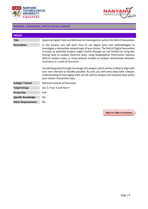



| NIEjr04                   |                                                                                                                                                                                                                                                                                                                                                                                                                                                                                 |
|---------------------------|---------------------------------------------------------------------------------------------------------------------------------------------------------------------------------------------------------------------------------------------------------------------------------------------------------------------------------------------------------------------------------------------------------------------------------------------------------------------------------|
| <b>Title</b>              | Exploring Digital Tools and Methods for Investigations within the field of Humanities                                                                                                                                                                                                                                                                                                                                                                                           |
| <b>Description</b>        | In this project, you will learn how to use digital tools and methodologies to<br>investigate a Humanities-related topic of your choice. The field of Digital Humanities<br>is broad, so potential projects might involve (though are not limited to) using text<br>mining tools to analyse historical texts, using Geographical Information Systems<br>(GIS) to analyse maps, or using network analysis to analyse relationships between<br>characters in a work of literature. |
|                           | You will be guided through the design of a project, which will be crafted to align with<br>your own interests as feasibly possible. As such, you will come away with a deeper<br>understanding of how digital tools can be used to analyse and interpret data within<br>your chosen Humanities topic.                                                                                                                                                                           |
| College / School          | National Institute of Education                                                                                                                                                                                                                                                                                                                                                                                                                                                 |
| <b>Target Group</b>       | Sec 3 / Year 3 and Year 4                                                                                                                                                                                                                                                                                                                                                                                                                                                       |
| <b>Group Size</b>         | Pair                                                                                                                                                                                                                                                                                                                                                                                                                                                                            |
| <b>Specific Knowledge</b> | <b>NIL</b>                                                                                                                                                                                                                                                                                                                                                                                                                                                                      |
| <b>Other Requirements</b> | <b>NIL</b>                                                                                                                                                                                                                                                                                                                                                                                                                                                                      |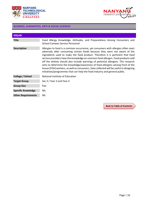



| NIEjr06                   |                                                                                                                                                                                                                                                                                                                                                                                                                                                                                                                                                                                                                                                                                       |
|---------------------------|---------------------------------------------------------------------------------------------------------------------------------------------------------------------------------------------------------------------------------------------------------------------------------------------------------------------------------------------------------------------------------------------------------------------------------------------------------------------------------------------------------------------------------------------------------------------------------------------------------------------------------------------------------------------------------------|
| <b>Title</b>              | Food Allergy Knowledge, Attitudes, and Preparedness Among Consumers and<br>School Canteen Service Personnel                                                                                                                                                                                                                                                                                                                                                                                                                                                                                                                                                                           |
| <b>Description</b>        | Allergies to food is a common occurrence, yet consumers with allergies often react<br>adversely after consuming certain foods because they were not aware of the<br>ingredients used to make the food product. Therefore it is pertinent that food<br>service providers have the knowledge on common food allergen. Food products sold<br>off the shelves should also include warnings of potential allergens. This research<br>aims to determine the knowledge/awareness of food allergens among front of the<br>house (FOH) workers, as well as consumers. Data collected will be useful in designing<br>initiatives/programmes that can help the food industry and general public. |
| College / School          | National Institute of Education                                                                                                                                                                                                                                                                                                                                                                                                                                                                                                                                                                                                                                                       |
| <b>Target Group</b>       | Sec 3 / Year 3 and Year 4                                                                                                                                                                                                                                                                                                                                                                                                                                                                                                                                                                                                                                                             |
| <b>Group Size</b>         | Pair                                                                                                                                                                                                                                                                                                                                                                                                                                                                                                                                                                                                                                                                                  |
| <b>Specific Knowledge</b> | <b>NIL</b>                                                                                                                                                                                                                                                                                                                                                                                                                                                                                                                                                                                                                                                                            |
| <b>Other Requirements</b> | <b>NIL</b>                                                                                                                                                                                                                                                                                                                                                                                                                                                                                                                                                                                                                                                                            |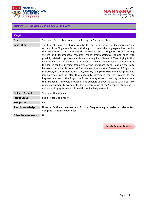



| SOHjr01                   |                                                                                                                                                                                                                                                                                                                                                                                                                                                                                                                                                                                                                                                                                                                                                                                                                                                                                                                                                                                                                                                                                                                                                                                                         |
|---------------------------|---------------------------------------------------------------------------------------------------------------------------------------------------------------------------------------------------------------------------------------------------------------------------------------------------------------------------------------------------------------------------------------------------------------------------------------------------------------------------------------------------------------------------------------------------------------------------------------------------------------------------------------------------------------------------------------------------------------------------------------------------------------------------------------------------------------------------------------------------------------------------------------------------------------------------------------------------------------------------------------------------------------------------------------------------------------------------------------------------------------------------------------------------------------------------------------------------------|
| <b>Title</b>              | Singapore Crypto-Linguistics: Deciphering the Singapore Stone                                                                                                                                                                                                                                                                                                                                                                                                                                                                                                                                                                                                                                                                                                                                                                                                                                                                                                                                                                                                                                                                                                                                           |
| <b>Description</b>        | The Project is aimed at trying to solve the puzzle of the yet-undeciphered writing<br>system of the Singapore Stone, with the goal to unveil the language hidden behind<br>that mysterious script. Tasks include internal analysis of Singapore Stone's writing<br>system and documentary research. Make grammatological comparisons with<br>possibly related scripts. Work with a multidisciplinary Research Team trying to find<br>new answers to this enigma. The Project has also an archaeological component in<br>the search for the 'missing' fragments of the Singapore Stone, 'lost' on the route<br>between the Indian Museum at Calcutta and the National Museum of Singapore.<br>Moreover, on the computational side, we'll try to apply the Gröbner Basis principles,<br>implemented into an algorithm especially developed for the Project, to the<br>fragmentary text of the Singapore Stone, aiming at reconstructing, in its entirety,<br>the text itself. This would provide us and scholars all over the world with a possibly<br>reliable document to work on for the interpretation of the Singapore Stone and its<br>unique writing system and, ultimately, for its decipherment. |
| College / School          | <b>School of Humanities</b>                                                                                                                                                                                                                                                                                                                                                                                                                                                                                                                                                                                                                                                                                                                                                                                                                                                                                                                                                                                                                                                                                                                                                                             |
| <b>Target Group</b>       | Sec 3 / Year 3 and Year 4                                                                                                                                                                                                                                                                                                                                                                                                                                                                                                                                                                                                                                                                                                                                                                                                                                                                                                                                                                                                                                                                                                                                                                               |
| <b>Group Size</b>         | Pair                                                                                                                                                                                                                                                                                                                                                                                                                                                                                                                                                                                                                                                                                                                                                                                                                                                                                                                                                                                                                                                                                                                                                                                                    |
| <b>Specific Knowledge</b> | None - Optional: elementary Python Programming experience; elementary<br>Computer Graphics experience.                                                                                                                                                                                                                                                                                                                                                                                                                                                                                                                                                                                                                                                                                                                                                                                                                                                                                                                                                                                                                                                                                                  |
| <b>Other Requirements</b> | <b>NIL</b>                                                                                                                                                                                                                                                                                                                                                                                                                                                                                                                                                                                                                                                                                                                                                                                                                                                                                                                                                                                                                                                                                                                                                                                              |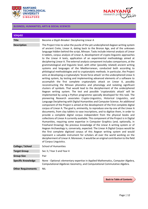



| SOHjr02                   |                                                                                                                                                                                                                                                                                                                                                                                                                                                                                                                                                                                                                                                                                                                                                                                                                                                                                                                                                                                                                                                                                                                                                                                                                                                                                                                                                                                                                                                                                                                                                                                                                                                                                                                                                                                                                                                                                                                                                                                                                                                                                                                                                                                                                                                                                                                                                                                                                                                                                                                                         |
|---------------------------|-----------------------------------------------------------------------------------------------------------------------------------------------------------------------------------------------------------------------------------------------------------------------------------------------------------------------------------------------------------------------------------------------------------------------------------------------------------------------------------------------------------------------------------------------------------------------------------------------------------------------------------------------------------------------------------------------------------------------------------------------------------------------------------------------------------------------------------------------------------------------------------------------------------------------------------------------------------------------------------------------------------------------------------------------------------------------------------------------------------------------------------------------------------------------------------------------------------------------------------------------------------------------------------------------------------------------------------------------------------------------------------------------------------------------------------------------------------------------------------------------------------------------------------------------------------------------------------------------------------------------------------------------------------------------------------------------------------------------------------------------------------------------------------------------------------------------------------------------------------------------------------------------------------------------------------------------------------------------------------------------------------------------------------------------------------------------------------------------------------------------------------------------------------------------------------------------------------------------------------------------------------------------------------------------------------------------------------------------------------------------------------------------------------------------------------------------------------------------------------------------------------------------------------------|
| <b>Title</b>              | Become a Glyph-Breaker: Deciphering Linear A                                                                                                                                                                                                                                                                                                                                                                                                                                                                                                                                                                                                                                                                                                                                                                                                                                                                                                                                                                                                                                                                                                                                                                                                                                                                                                                                                                                                                                                                                                                                                                                                                                                                                                                                                                                                                                                                                                                                                                                                                                                                                                                                                                                                                                                                                                                                                                                                                                                                                            |
| <b>Description</b>        | The Project tries to solve the puzzle of the yet-undeciphered Aegean writing system<br>of ancient Crete, Linear A, dating back to the Bronze Age, and of the unknown<br>language hidden behind the script, Minoan. Tasks include internal analysis of Linear<br>A tablets, corpus analysis of Linear A, development of crypto-linguistic approaches<br>to the Linear A texts, application of an experimental methodology aimed at<br>deciphering Linear A. The external analysis component includes comparisons, at the<br>grammatological and linguistic level, with other (possibly related) ancient writing<br>systems and languages of the Mediterranean, conducted both according to<br>philological methodologies and to cryptanalytic methods. In particular, the Project<br>aims at developing a cryptanalytic 'brute force attack' on the undeciphered Linear A<br>writing system, by testing and implementing advanced elements of a software to<br>accomplish the first complete cryptanalytic attack on Linear A, possibly<br>reconstructing the Minoan phonetics and phonology and isolating significant<br>clusters of symbols. That would lead to the decipherment of the undeciphered<br>Aegean writing system. The test and possible 'cryptanalytic attack' will be<br>implemented by using a Python programme specially developed for this task. The<br>pioneering Research associates Crypto-Linguistics, Historical Linguistics, and<br>Language Deciphering with Digital Humanities and Computer Science. An additional<br>component of the Project is aimed at the development of the first complete digital<br>corpus of Linear A. The goal is, eminently, to reproduce one-by-one all the Linear A<br>documents, from clay tablets to vase inscriptions, and to digitize them, in order to<br>provide a complete digital corpus independent from the physical books and<br>collections of Linear A currently available. This component of the Project is in Digital<br>Humanities, requiring some expertise in Computer Graphics (and, optionally, in<br>Freehand Drawing). No previous knowledge of the Linear A writing system or of<br>Aegean Archaeology is, conversely, expected. The Linear A Digital Corpus would be<br>the first complete digitized corpus of this Aegean writing system and would<br>represent a valuable instrument for scholars all over the world working on the<br>decipherment of Linear A. Moreover, it would be an original contribution to the field<br>of Corpus Linguistics. |
| College / School          | <b>School of Humanities</b>                                                                                                                                                                                                                                                                                                                                                                                                                                                                                                                                                                                                                                                                                                                                                                                                                                                                                                                                                                                                                                                                                                                                                                                                                                                                                                                                                                                                                                                                                                                                                                                                                                                                                                                                                                                                                                                                                                                                                                                                                                                                                                                                                                                                                                                                                                                                                                                                                                                                                                             |
| <b>Target Group</b>       | Sec 3 / Year 3 and Year 4                                                                                                                                                                                                                                                                                                                                                                                                                                                                                                                                                                                                                                                                                                                                                                                                                                                                                                                                                                                                                                                                                                                                                                                                                                                                                                                                                                                                                                                                                                                                                                                                                                                                                                                                                                                                                                                                                                                                                                                                                                                                                                                                                                                                                                                                                                                                                                                                                                                                                                               |
| <b>Group Size</b>         | Pair                                                                                                                                                                                                                                                                                                                                                                                                                                                                                                                                                                                                                                                                                                                                                                                                                                                                                                                                                                                                                                                                                                                                                                                                                                                                                                                                                                                                                                                                                                                                                                                                                                                                                                                                                                                                                                                                                                                                                                                                                                                                                                                                                                                                                                                                                                                                                                                                                                                                                                                                    |
| <b>Specific Knowledge</b> | None - Optional: elementary expertise in Applied Mathematics, Computer Algebra,<br>Computational Algebraic Geometry, and Computational Commutative Algebra.                                                                                                                                                                                                                                                                                                                                                                                                                                                                                                                                                                                                                                                                                                                                                                                                                                                                                                                                                                                                                                                                                                                                                                                                                                                                                                                                                                                                                                                                                                                                                                                                                                                                                                                                                                                                                                                                                                                                                                                                                                                                                                                                                                                                                                                                                                                                                                             |
| <b>Other Requirements</b> | <b>NIL</b>                                                                                                                                                                                                                                                                                                                                                                                                                                                                                                                                                                                                                                                                                                                                                                                                                                                                                                                                                                                                                                                                                                                                                                                                                                                                                                                                                                                                                                                                                                                                                                                                                                                                                                                                                                                                                                                                                                                                                                                                                                                                                                                                                                                                                                                                                                                                                                                                                                                                                                                              |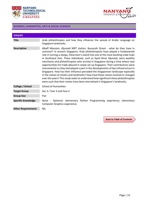



| SOHjr03                   |                                                                                                                                                                                                                                                                                                                                                                                                                                                                                                                                                                                                                                                                                                                                                                                                                                                                                                                                                  |
|---------------------------|--------------------------------------------------------------------------------------------------------------------------------------------------------------------------------------------------------------------------------------------------------------------------------------------------------------------------------------------------------------------------------------------------------------------------------------------------------------------------------------------------------------------------------------------------------------------------------------------------------------------------------------------------------------------------------------------------------------------------------------------------------------------------------------------------------------------------------------------------------------------------------------------------------------------------------------------------|
| <b>Title</b>              | Arab philanthropies and how they influence the spread of Arabic Language on<br>Singapore landmarks                                                                                                                                                                                                                                                                                                                                                                                                                                                                                                                                                                                                                                                                                                                                                                                                                                               |
| <b>Description</b>        | Alkaff Mansion, Aljunied MRT station, Bussorah Street - what do they have in<br>common? In ancient Singapore, Arab philanthropists have played a fundamental<br>role in turning a sleepy, fishermen's island into one of the most bustling trade hubs<br>in Southeast Asia. These individuals, such as Syed Omar Aljunied, were wealthy<br>merchants and philanthropists who arrived in Singapore during a time where new<br>opportunities for trade abound in newly set up Singapore. Their contributions were<br>monumental as they had played a part in the developments of key infrastructure in<br>Singapore. How has their influence pervaded the Singaporean landscape especially<br>in the names of streets and landmarks? How have these names evolved or changed<br>over the years? This study seeks to understand how significant these philanthropists<br>were such that their names have been eternalized in Singapore's landmarks. |
| College / School          | <b>School of Humanities</b>                                                                                                                                                                                                                                                                                                                                                                                                                                                                                                                                                                                                                                                                                                                                                                                                                                                                                                                      |
| <b>Target Group</b>       | Sec 3 / Year 3 and Year 4                                                                                                                                                                                                                                                                                                                                                                                                                                                                                                                                                                                                                                                                                                                                                                                                                                                                                                                        |
| <b>Group Size</b>         | Pair                                                                                                                                                                                                                                                                                                                                                                                                                                                                                                                                                                                                                                                                                                                                                                                                                                                                                                                                             |
| <b>Specific Knowledge</b> | None - Optional: elementary Python Programming experience; elementary<br>Computer Graphics experience.                                                                                                                                                                                                                                                                                                                                                                                                                                                                                                                                                                                                                                                                                                                                                                                                                                           |
| <b>Other Requirements</b> | <b>NIL</b>                                                                                                                                                                                                                                                                                                                                                                                                                                                                                                                                                                                                                                                                                                                                                                                                                                                                                                                                       |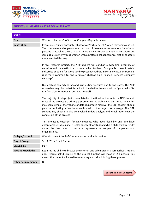



| SCIjr01                   |                                                                                                                                                                                                                                                                                                                                                                                                                                                                      |
|---------------------------|----------------------------------------------------------------------------------------------------------------------------------------------------------------------------------------------------------------------------------------------------------------------------------------------------------------------------------------------------------------------------------------------------------------------------------------------------------------------|
| <b>Title</b>              | Who Are Chatbots?: A Study of Company Digital Personas                                                                                                                                                                                                                                                                                                                                                                                                               |
| <b>Description</b>        | People increasingly encounter chatbots or "virtual agents" when they visit websites.<br>The companies and organisations that control these websites have a choice of what<br>persona to attach to their chatbots. Jamie is a well-known example in Singapore, but<br>Jamie is a relatively young woman with a professional appearance. Not all chatbots<br>are presented this way.                                                                                   |
|                           | In this research project, the NRP student will conduct a sweeping inventory of<br>websites and the chatbot personas attached to them. Our goal is to see if certain<br>industries or public functions tend to present chatbots in certain ways. For example,<br>is it more common to find a "male" chatbot on a financial services company<br>webpage?                                                                                                               |
|                           | Our analysis can extend beyond just visiting websites and taking notes. The NRP<br>researcher may choose to interact with the chatbot to see what the "personality" is.<br>Is it formal, informational, positive, neutral?                                                                                                                                                                                                                                           |
|                           | The majority of this project is completed on the timeline that suits the NRP student.<br>Most of the project is truthfully just browsing the web and taking notes. While this<br>may seem simple, the volume of data required is massive; the NRP student should<br>plan on dedicating a few hours each week to the project, on average. The NRP<br>student may choose to also be involved in data analysis and visualisation near the<br>conclusion of the project. |
|                           | This project is excellent for NRP students who need flexibility and also have<br>exceptional self-discipline. It is also excellent for students who wish to think carefully<br>about the best way to create a representative sample of companies and<br>organisations.                                                                                                                                                                                               |
| College / School          | Wee Kim Wee School of Communication and Information                                                                                                                                                                                                                                                                                                                                                                                                                  |
| <b>Target Group</b>       | Sec 3 / Year 3 and Year 4                                                                                                                                                                                                                                                                                                                                                                                                                                            |
| <b>Group Size</b>         | Pair                                                                                                                                                                                                                                                                                                                                                                                                                                                                 |
| <b>Specific Knowledge</b> | Requires the ability to browse the internet and take notes in a spreadsheet. Project<br>does require self-discipline as the project timeline will move in 2-4 phases; this<br>means the student will need to self-manage workload during these phases.                                                                                                                                                                                                               |
| <b>Other Requirements</b> | <b>NIL</b>                                                                                                                                                                                                                                                                                                                                                                                                                                                           |